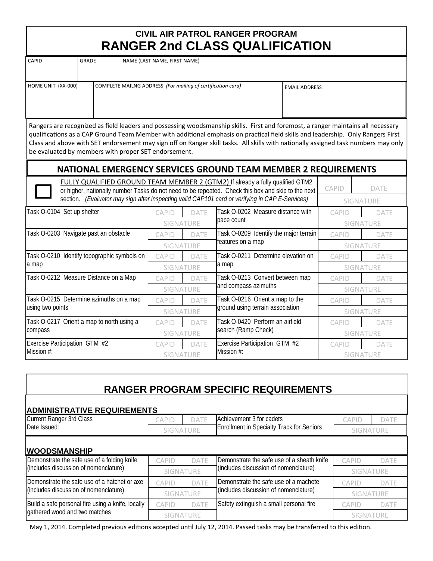## **CIVIL AIR PATROL RANGER PROGRAM RANGER 2nd CLASS QUALIFICATION**

| GRADE<br>CAPID     |  | NAME (LAST NAME, FIRST NAME)                                |                      |  |  |  |
|--------------------|--|-------------------------------------------------------------|----------------------|--|--|--|
|                    |  |                                                             |                      |  |  |  |
| HOME UNIT (XX-000) |  | COMPLETE MAILNG ADDRESS (For mailing of certification card) | <b>EMAIL ADDRESS</b> |  |  |  |
|                    |  |                                                             |                      |  |  |  |
|                    |  |                                                             |                      |  |  |  |

Rangers are recognized as field leaders and possessing woodsmanship skills. First and foremost, a ranger maintains all necessary qualifications as a CAP Ground Team Member with additional emphasis on practical field skills and leadership. Only Rangers First Class and above with SET endorsement may sign off on Ranger skill tasks. All skills with nationally assigned task numbers may only be evaluated by members with proper SET endorsement.

## **NATIONAL EMERGENCY SERVICES GROUND TEAM MEMBER 2 REQUIREMENTS**

| FULLY QUALIFIED GROUND TEAM MEMBER 2 (GTM2) If already a fully qualified GTM2<br>or higher, nationally number Tasks do not need to be repeated. Check this box and skip to the next<br>section. (Evaluator may sign after inspecting valid CAP101 card or verifying in CAP E-Services) | <b>CAPID</b><br><b>DATE</b><br><b>SIGNATURE</b> |             |                                        |                  |             |
|----------------------------------------------------------------------------------------------------------------------------------------------------------------------------------------------------------------------------------------------------------------------------------------|-------------------------------------------------|-------------|----------------------------------------|------------------|-------------|
| Task O-0104 Set up shelter                                                                                                                                                                                                                                                             | <b>CAPID</b>                                    | DATF        | Task O-0202 Measure distance with      | <b>CAPID</b>     | <b>DATE</b> |
|                                                                                                                                                                                                                                                                                        | <b>SIGNATURE</b>                                |             | pace count                             | <b>SIGNATURE</b> |             |
| Task O-0203 Navigate past an obstacle                                                                                                                                                                                                                                                  | <b>CAPID</b>                                    | <b>DATE</b> | Task O-0209 Identify the major terrain | <b>CAPID</b>     | <b>DATE</b> |
|                                                                                                                                                                                                                                                                                        | SIGNATURE                                       |             | features on a map                      | <b>SIGNATURE</b> |             |
| Task O-0210 Identify topographic symbols on                                                                                                                                                                                                                                            | <b>CAPID</b>                                    | <b>DATE</b> | Task O-0211 Determine elevation on     | <b>CAPID</b>     | DATE        |
| a map                                                                                                                                                                                                                                                                                  | SIGNATURE                                       |             | a map                                  | <b>SIGNATURE</b> |             |
| Task O-0212 Measure Distance on a Map                                                                                                                                                                                                                                                  | <b>CAPID</b>                                    | <b>DATE</b> | Task O-0213 Convert between map        | <b>CAPID</b>     | DATE        |
|                                                                                                                                                                                                                                                                                        | <b>SIGNATURE</b>                                |             | and compass azimuths                   | SIGNATURE        |             |
| Task O-0215 Determine azimuths on a map                                                                                                                                                                                                                                                | <b>CAPID</b>                                    | <b>DATE</b> | Task O-0216 Orient a map to the        | <b>CAPID</b>     | DATE        |
| using two points                                                                                                                                                                                                                                                                       | <b>SIGNATURE</b>                                |             | ground using terrain association       | <b>SIGNATURE</b> |             |
| Task O-0217 Orient a map to north using a                                                                                                                                                                                                                                              | <b>CAPID</b>                                    | <b>DATE</b> | Task O-0420 Perform an airfield        | <b>CAPID</b>     | <b>DATE</b> |
| compass                                                                                                                                                                                                                                                                                | SIGNATURE                                       |             | search (Ramp Check)                    | <b>SIGNATURE</b> |             |
| Exercise Participation GTM #2                                                                                                                                                                                                                                                          | <b>CAPID</b>                                    | <b>DATE</b> | Exercise Participation GTM #2          | <b>CAPID</b>     | DATE        |
| Mission #:                                                                                                                                                                                                                                                                             | <b>SIGNATURE</b>                                |             | Mission #:                             | <b>SIGNATURE</b> |             |

## **RANGER PROGRAM SPECIFIC REQUIREMENTS**

| <b>ADMINISTRATIVE REQUIREMENTS</b>                                 |                             |             |                                                  |                  |                  |  |
|--------------------------------------------------------------------|-----------------------------|-------------|--------------------------------------------------|------------------|------------------|--|
| <b>Current Ranger 3rd Class</b>                                    | CAPID                       | <b>DATE</b> | Achievement 3 for cadets                         | <b>CAPID</b>     | <b>DATE</b>      |  |
| Date Issued:                                                       | SIGNATURE                   |             | <b>Enrollment in Specialty Track for Seniors</b> | <b>SIGNATURE</b> |                  |  |
| <b>WOODSMANSHIP</b><br>Demonstrate the safe use of a folding knife |                             |             | Demonstrate the safe use of a sheath knife       |                  |                  |  |
| (includes discussion of nomenclature)                              | <b>DATE</b><br><b>CAPID</b> |             | (includes discussion of nomenclature)            | CAPID            | DATE             |  |
|                                                                    | SIGNATURE                   |             |                                                  | <b>SIGNATURE</b> |                  |  |
| Demonstrate the safe use of a hatchet or axe                       | <b>CAPID</b>                | <b>DATF</b> | Demonstrate the safe use of a machete            | <b>CAPID</b>     | DATF             |  |
| (includes discussion of nomenclature)                              | SIGNATURE                   |             | (includes discussion of nomenclature)            | <b>SIGNATURE</b> |                  |  |
| Build a safe personal fire using a knife, locally                  | CAPID                       | DATF        | Safety extinguish a small personal fire          | <b>CAPID</b>     | DATF             |  |
| gathered wood and two matches                                      | <b>SIGNATURE</b>            |             |                                                  |                  | <b>SIGNATURE</b> |  |

May 1, 2014. Completed previous editions accepted until July 12, 2014. Passed tasks may be transferred to this edition.